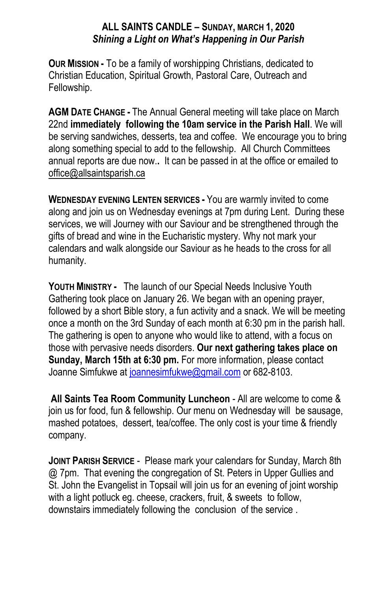## **ALL SAINTS CANDLE – SUNDAY, MARCH 1, 2020** *Shining a Light on What's Happening in Our Parish*

**OUR MISSION -** To be a family of worshipping Christians, dedicated to Christian Education, Spiritual Growth, Pastoral Care, Outreach and Fellowship.

**AGM DATE CHANGE -** The Annual General meeting will take place on March 22nd **immediately following the 10am service in the Parish Hall**. We will be serving sandwiches, desserts, tea and coffee. We encourage you to bring along something special to add to the fellowship. All Church Committees annual reports are due now.**.** It can be passed in at the office or emailed to office@allsaintsparish.ca

**WEDNESDAY EVENING LENTEN SERVICES -** You are warmly invited to come along and join us on Wednesday evenings at 7pm during Lent. During these services, we will Journey with our Saviour and be strengthened through the gifts of bread and wine in the Eucharistic mystery. Why not mark your calendars and walk alongside our Saviour as he heads to the cross for all humanity.

**YOUTH MINISTRY -** The launch of our Special Needs Inclusive Youth Gathering took place on January 26. We began with an opening prayer, followed by a short Bible story, a fun activity and a snack. We will be meeting once a month on the 3rd Sunday of each month at 6:30 pm in the parish hall. The gathering is open to anyone who would like to attend, with a focus on those with pervasive needs disorders. **Our next gathering takes place on Sunday, March 15th at 6:30 pm.** For more information, please contact Joanne Simfukwe at [joannesimfukwe@gmail.com](mailto:joannesimfukwe@gmail.com) or 682-8103.

**All Saints Tea Room Community Luncheon** - All are welcome to come & join us for food, fun & fellowship. Our menu on Wednesday will be sausage, mashed potatoes, dessert, tea/coffee. The only cost is your time & friendly company.

**JOINT PARISH SERVICE** - Please mark your calendars for Sunday, March 8th @ 7pm. That evening the congregation of St. Peters in Upper Gullies and St. John the Evangelist in Topsail will join us for an evening of joint worship with a light potluck eg. cheese, crackers, fruit, & sweets to follow, downstairs immediately following the conclusion of the service .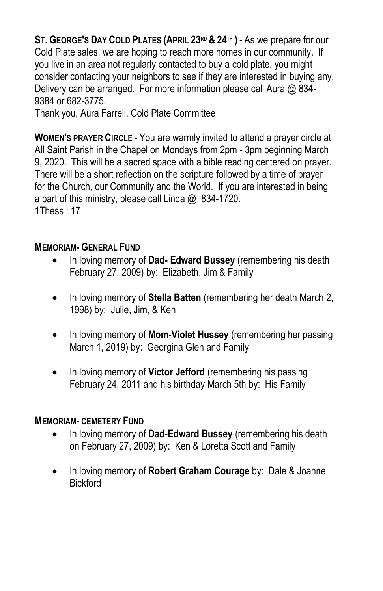**ST. GEORGE'S DAY COLD PLATES (APRIL 23RD & 24TH )** - As we prepare for our Cold Plate sales, we are hoping to reach more homes in our community. If you live in an area not regularly contacted to buy a cold plate, you might consider contacting your neighbors to see if they are interested in buying any. Delivery can be arranged. For more information please call Aura @ 834- 9384 or 682-3775.

Thank you, Aura Farrell, Cold Plate Committee

**WOMEN'S PRAYER CIRCLE -** You are warmly invited to attend a prayer circle at All Saint Parish in the Chapel on Mondays from 2pm - 3pm beginning March 9, 2020. This will be a sacred space with a bible reading centered on prayer. There will be a short reflection on the scripture followed by a time of prayer for the Church, our Community and the World. If you are interested in being a part of this ministry, please call Linda @ 834-1720. 1Thess : 17

## **MEMORIAM- GENERAL FUND**

- In loving memory of **Dad- Edward Bussey** (remembering his death February 27, 2009) by: Elizabeth, Jim & Family
- In loving memory of **Stella Batten** (remembering her death March 2, 1998) by: Julie, Jim, & Ken
- In loving memory of **Mom-Violet Hussey** (remembering her passing March 1, 2019) by: Georgina Glen and Family
- In loving memory of **Victor Jefford** (remembering his passing February 24, 2011 and his birthday March 5th by: His Family

## **MEMORIAM- CEMETERY FUND**

- In loving memory of **Dad-Edward Bussey** (remembering his death on February 27, 2009) by: Ken & Loretta Scott and Family
- In loving memory of **Robert Graham Courage** by: Dale & Joanne **Bickford**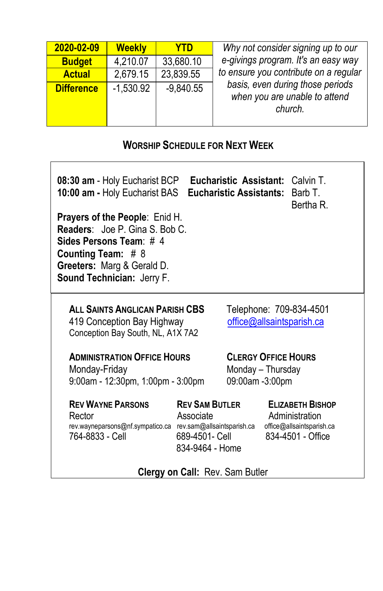| 2020-02-09        | <b>Weekly</b> | YTD         | Why not consider signing up to our                                           |
|-------------------|---------------|-------------|------------------------------------------------------------------------------|
| <b>Budget</b>     | 4,210.07      | 33,680.10   | e-givings program. It's an easy way                                          |
| <b>Actual</b>     | 2,679.15      | 23,839.55   | to ensure you contribute on a regular                                        |
| <b>Difference</b> | $-1,530.92$   | $-9,840.55$ | basis, even during those periods<br>when you are unable to attend<br>church. |

## **WORSHIP SCHEDULE FOR NEXT WEEK**

| 08:30 am - Holy Eucharist BCP Eucharistic Assistant: Calvin T.<br>10:00 am - Holy Eucharist BAS<br>Eucharistic Assistants:<br>Barb T.<br>Bertha R.<br><b>Prayers of the People: Enid H.</b><br>Readers: Joe P. Gina S. Bob C.<br>Sides Persons Team: # 4<br>Counting Team: $# 8$<br>Greeters: Marg & Gerald D.<br>Sound Technician: Jerry F. |                                                                         |                                                                                             |  |  |  |
|----------------------------------------------------------------------------------------------------------------------------------------------------------------------------------------------------------------------------------------------------------------------------------------------------------------------------------------------|-------------------------------------------------------------------------|---------------------------------------------------------------------------------------------|--|--|--|
| ALL SAINTS ANGLICAN PARISH CBS<br>Telephone: 709-834-4501<br>419 Conception Bay Highway<br>office@allsaintsparish.ca<br>Conception Bay South, NL, A1X 7A2                                                                                                                                                                                    |                                                                         |                                                                                             |  |  |  |
| <b>CLERGY OFFICE HOURS</b><br><b>ADMINISTRATION OFFICE HOURS</b><br>Monday-Friday<br>Monday - Thursday<br>9:00am - 12:30pm, 1:00pm - 3:00pm<br>09:00am -3:00pm                                                                                                                                                                               |                                                                         |                                                                                             |  |  |  |
| <b>REV WAYNE PARSONS</b><br>Rector<br>rev.wayneparsons@nf.sympatico.ca rev.sam@allsaintsparish.ca<br>764-8833 - Cell                                                                                                                                                                                                                         | <b>REV SAM BUTLER</b><br>Associate<br>689-4501- Cell<br>834-9464 - Home | <b>ELIZABETH BISHOP</b><br>Administration<br>office@allsaintsparish.ca<br>834-4501 - Office |  |  |  |
| Clergy on Call: Rev. Sam Butler                                                                                                                                                                                                                                                                                                              |                                                                         |                                                                                             |  |  |  |